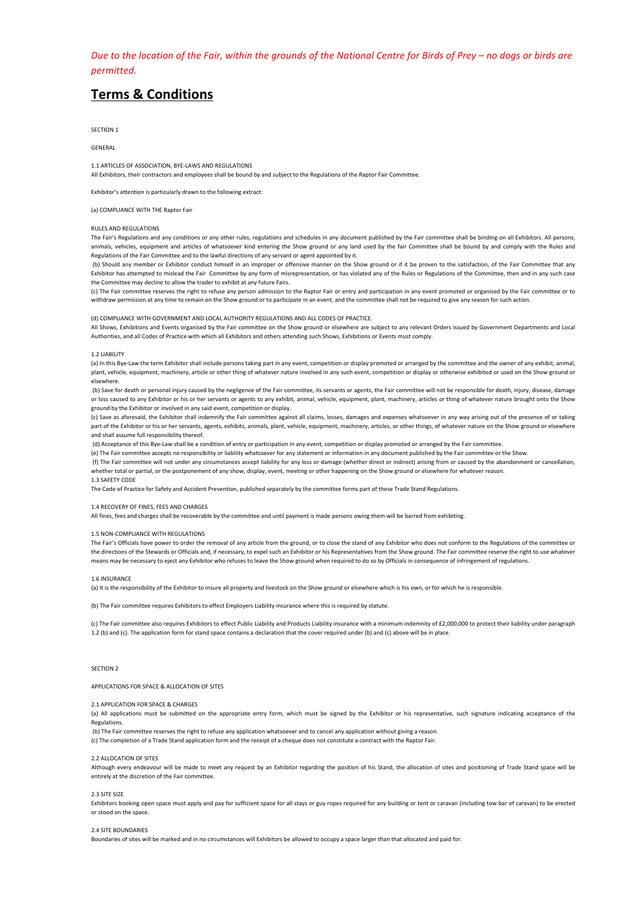*Due* to the location of the Fair, within the grounds of the National Centre for Birds of Prey – no dogs or birds are *permitted.* 

# **Terms & Conditions**

SECTION<sub>1</sub>

**GENERAL** 

1.1 ARTICLES OF ASSOCIATION, BYE-LAWS AND REGULATIONS

All Exhibitors, their contractors and employees shall be bound by and subject to the Regulations of the Raptor Fair Committee.

Exhibitor's attention is particularly drawn to the following extract:

# (a) COMPLIANCE WITH THE Raptor Fair

# RULES AND REGULATIONS

The Fair's Regulations and any conditions or any other rules, regulations and schedules in any document published by the Fair committee shall be binding on all Exhibitors. All persons, animals, vehicles, equipment and articles of whatsoever kind entering the Show ground or any land used by the fair Committee shall be bound by and comply with the Rules and Regulations of the Fair Committee and to the lawful directions of any servant or agent appointed by it.

(b) Should any member or Exhibitor conduct himself in an improper or offensive manner on the Show ground or if it be proven to the satisfaction, of the Fair Committee that any Exhibitor has attempted to mislead the Fair Committee by any form of misrepresentation, or has violated any of the Rules or Regulations of the Committee, then and in any such case the Committee may decline to allow the trader to exhibit at any future Fairs.

(c) The Fair committee reserves the right to refuse any person admission to the Raptor Fair or entry and participation in any event promoted or organised by the Fair committee or to withdraw permission at any time to remain on the Show ground or to participate in an event, and the committee shall not be required to give any reason for such action.

#### (d) COMPLIANCE WITH GOVERNMENT AND LOCAL AUTHORITY REGULATIONS AND ALL CODES OF PRACTICE.

All Shows, Exhibitions and Events organised by the Fair committee on the Show ground or elsewhere are subject to any relevant Orders issued by Government Departments and Local Authorities, and all Codes of Practice with which all Exhibitors and others attending such Shows, Exhibitions or Events must comply.

#### 1.2 LIABILITY

(a) In this Bye-Law the term Exhibitor shall include persons taking part in any event, competition or display promoted or arranged by the committee and the owner of any exhibit, animal, plant, vehicle, equipment, machinery, article or other thing of whatever nature involved in any such event, competition or display or otherwise exhibited or used on the Show ground or elsewhere.

(b) Save for death or personal injury caused by the negligence of the Fair committee, its servants or agents, the Fair committee will not be responsible for death, injury, disease, damage or loss caused to any Exhibitor or his or her servants or agents to any exhibit, animal, vehicle, equipment, plant, machinery, articles or thing of whatever nature brought onto the Show ground by the Exhibitor or involved in any said event, competition or display.

(c) Save as aforesaid, the Exhibitor shall indemnify the Fair committee against all claims, losses, damages and expenses whatsoever in any way arising out of the presence of or taking part of the Exhibitor or his or her servants, agents, exhibits, animals, plant, vehicle, equipment, machinery, articles, or other things, of whatever nature on the Show ground or elsewhere and shall assume full responsibility thereof.

(d) Acceptance of this Bye-Law shall be a condition of entry or participation in any event, competition or display promoted or arranged by the Fair committee.

(e) The Fair committee accepts no responsibility or liability whatsoever for any statement or information in any document published by the Fair committee or the Show.

(f) The Fair committee will not under any circumstances accept liability for any loss or damage (whether direct or indirect) arising from or caused by the abandonment or cancellation. whether total or partial, or the postponement of any show, display, event, meeting or other happening on the Show ground or elsewhere for whatever reason.

#### 1.3 SAFETY CODE

The Code of Practice for Safety and Accident Prevention, published separately by the committee forms part of these Trade Stand Regulations.

#### 1.4 RECOVERY OF FINES, FEES AND CHARGES

All fines, fees and charges shall be recoverable by the committee and until payment is made persons owing them will be barred from exhibiting.

# 1.5 NON-COMPLIANCE WITH REGULATIONS

The Fair's Officials have power to order the removal of any article from the ground, or to close the stand of any Exhibitor who does not conform to the Regulations of the committee or the directions of the Stewards or Officials and, if necessary, to expel such an Exhibitor or his Representatives from the Show ground. The Fair committee reserve the right to use whatever means may be necessary to eject any Exhibitor who refuses to leave the Show ground when required to do so by Officials in consequence of infringement of regulations.

# 1.6 INSURANCE

(a) It is the responsibility of the Exhibitor to insure all property and livestock on the Show ground or elsewhere which is his own, or for which he is responsible.

(b) The Fair committee requires Exhibitors to effect Employers Liability insurance where this is required by statute.

(c) The Fair committee also requires Exhibitors to effect Public Liability and Products Liability insurance with a minimum indemnity of £2,000,000 to protect their liability under paragraph 1.2 (b) and (c). The application form for stand space contains a declaration that the cover required under (b) and (c) above will be in place.

# SECTION<sub>2</sub>

# APPLICATIONS FOR SPACE & ALLOCATION OF SITES

# 2.1 APPLICATION FOR SPACE & CHARGES

(a) All applications must be submitted on the appropriate entry form, which must be signed by the Exhibitor or his representative, such signature indicating acceptance of the Regulations. 

(b) The Fair committee reserves the right to refuse any application whatsoever and to cancel any application without giving a reason.

(c) The completion of a Trade Stand application form and the receipt of a cheque does not constitute a contract with the Raptor Fair.

### 2.2 ALLOCATION OF SITES

Although every endeavour will be made to meet any request by an Exhibitor regarding the position of is Stand, the allocation of sites and positioning of Trade Stand space will be entirely at the discretion of the Fair committee.

### 2.3 SITE SIZE

Exhibitors booking open space must apply and pay for sufficient space for all stays or guy ropes required for any building or tent or carayan (including tow bar of carayan) to be erected or stood on the space.

#### 2.4 SITE BOUNDARIES

Boundaries of sites will be marked and in no circumstances will Exhibitors be allowed to occupy a space larger than that allocated and paid for.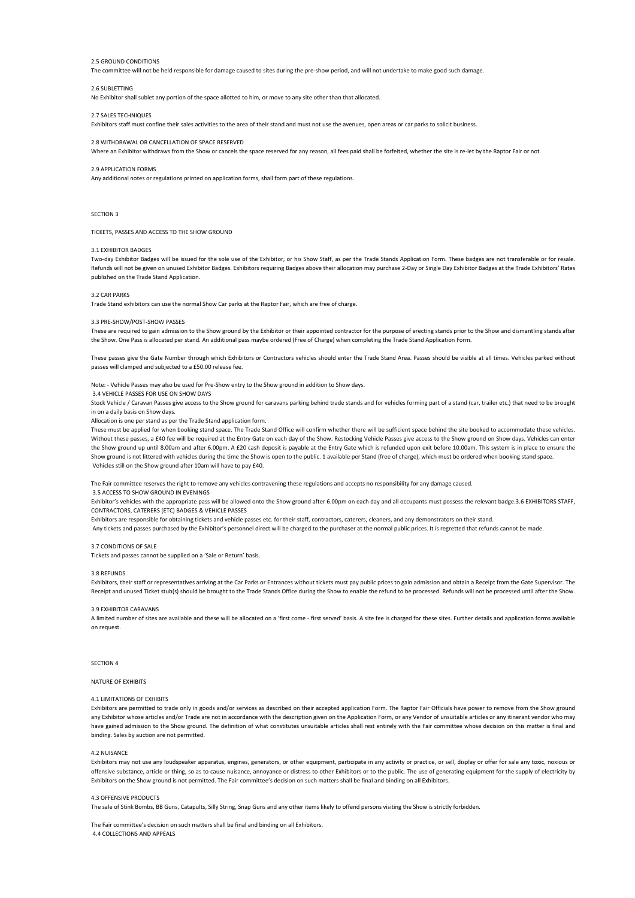# 2.5 GROUND CONDITIONS

The committee will not be held responsible for damage caused to sites during the pre-show period, and will not undertake to make good such damage

# 2.6 SUBLETTING

No Exhibitor shall sublet any portion of the space allotted to him, or move to any site other than that allocated.

# 2.7 SALES TECHNIQUES

Exhibitors staff must confine their sales activities to the area of their stand and must not use the avenues, open areas or car parks to solicit business.

#### 2.8 WITHDRAWAL OR CANCELLATION OF SPACE RESERVED.

Where an Exhibitor withdraws from the Show or cancels the space reserved for any reason, all fees paid shall be forfeited, whether the site is re-let by the Raptor Fair or not.

### 2.9 APPLICATION FORMS

Any additional notes or regulations printed on application forms, shall form part of these regulations.

### SECTION 3

TICKETS, PASSES AND ACCESS TO THE SHOW GROUND

# 3.1 EXHIBITOR BADGES

Two-day Exhibitor Badges will be issued for the sole use of the Exhibitor, or his Show Staff, as per the Trade Stands Application Form. These badges are not transferable or for resale. Refunds will not be given on unused Exhibitor Badges. Exhibitors requiring Badges above their allocation may purchase 2-Day or Single Day Exhibitor Badges at the Trade Exhibitors' Rates published on the Trade Stand Application.

# 3.2 CAR PARKS

Trade Stand exhibitors can use the normal Show Car parks at the Raptor Fair, which are free of charge.

# 3.3 PRE-SHOW/POST-SHOW PASSES

These are required to gain admission to the Show ground by the Exhibitor or their appointed contractor for the purpose of erecting stands prior to the Show and dismantling stands after the Show. One Pass is allocated per stand. An additional pass maybe ordered (Free of Charge) when completing the Trade Stand Application Form.

These passes give the Gate Number through which Exhibitors or Contractors vehicles should enter the Trade Stand Area. Passes should be visible at all times. Vehicles parked without passes will clamped and subjected to a £50.00 release fee.

Note: - Vehicle Passes may also be used for Pre-Show entry to the Show ground in addition to Show days.

# 3.4 VEHICLE PASSES FOR LISE ON SHOW DAYS

Stock Vehicle / Caravan Passes give access to the Show ground for caravans parking behind trade stands and for vehicles forming part of a stand (car, trailer etc.) that need to be brought in on a daily basis on Show days.

Allocation is one per stand as per the Trade Stand application form.

These must be applied for when booking stand space. The Trade Stand Office will confirm whether there will be sufficient space behind the site booked to accommodate these vehicles. Without these passes, a £40 fee will be required at the Entry Gate on each day of the Show. Restocking Vehicle Passes give access to the Show ground on Show days. Vehicles can enter the Show ground up until 8.00am and after 6.00pm. A £20 cash deposit is payable at the Entry Gate which is refunded upon exit before 10.00am. This system is in place to ensure the Show ground is not littered with vehicles during the time the Show is open to the public. 1 available per Stand (free of charge), which must be ordered when booking stand space. Vehicles still on the Show ground after 10am will have to pay £40.

The Fair committee reserves the right to remove any vehicles contravening these regulations and accepts no responsibility for any damage caused.

#### 3.5 ACCESS TO SHOW GROUND IN FVENINGS

Exhibitor's vehicles with the appropriate pass will be allowed onto the Show ground after 6.00pm on each day and all occupants must possess the relevant badge.3.6 EXHIBITORS STAFF, CONTRACTORS, CATERERS (ETC) BADGES & VEHICLE PASSES

Exhibitors are responsible for obtaining tickets and vehicle passes etc. for their staff, contractors, caterers, cleaners, and any demonstrators on their stand.

Any tickets and passes purchased by the Exhibitor's personnel direct will be charged to the purchaser at the normal public prices. It is regretted that refunds cannot be made.

#### 3.7 CONDITIONS OF SALE

Tickets and passes cannot be supplied on a 'Sale or Return' basis.

#### 3.8 REFUNDS

Exhibitors, their staff or representatives arriving at the Car Parks or Entrances without tickets must pay public prices to gain admission and obtain a Receipt from the Gate Supervisor. The Receipt and unused Ticket stub(s) should be brought to the Trade Stands Office during the Show to enable the refund to be processed. Refunds will not be processed until after the Show.

#### 3.9 EXHIBITOR CARAVANS

A limited number of sites are available and these will be allocated on a 'first come - first served' basis. A site fee is charged for these sites, Further details and application forms available on request. 

# SECTION 4

# NATURE OF EXHIBITS

### 4.1 LIMITATIONS OF EXHIBITS

Exhibitors are permitted to trade only in goods and/or services as described on their accepted application Form. The Raptor Fair Officials have power to remove from the Show ground any Exhibitor whose articles and/or Trade are not in accordance with the description given on the Application Form, or any Vendor of unsuitable articles or any itinerant vendor who may have gained admission to the Show ground. The definition of what constitutes unsuitable articles shall rest entirely with the Fair committee whose decision on this matter is final and binding. Sales by auction are not permitted.

# 4.2 NUISANCE

Exhibitors may not use any loudspeaker apparatus, engines, generators, or other equipment, participate in any activity or practice, or sell, display or offer for sale any toxic, noxious or offensive substance, article or thing, so as to cause nuisance, annoyance or distress to other Exhibitors or to the public. The use of generating equipment for the supply of electricity by Exhibitors on the Show ground is not permitted. The Fair committee's decision on such matters shall be final and binding on all Exhibitors.

### 4.3 OFFENSIVE PRODUCTS

The sale of Stink Bombs, BB Guns, Catapults, Silly String, Snap Guns and any other items likely to offend persons visiting the Show is strictly forbidden.

The Fair committee's decision on such matters shall be final and binding on all Exhibitors. 4.4 COLLECTIONS AND APPEALS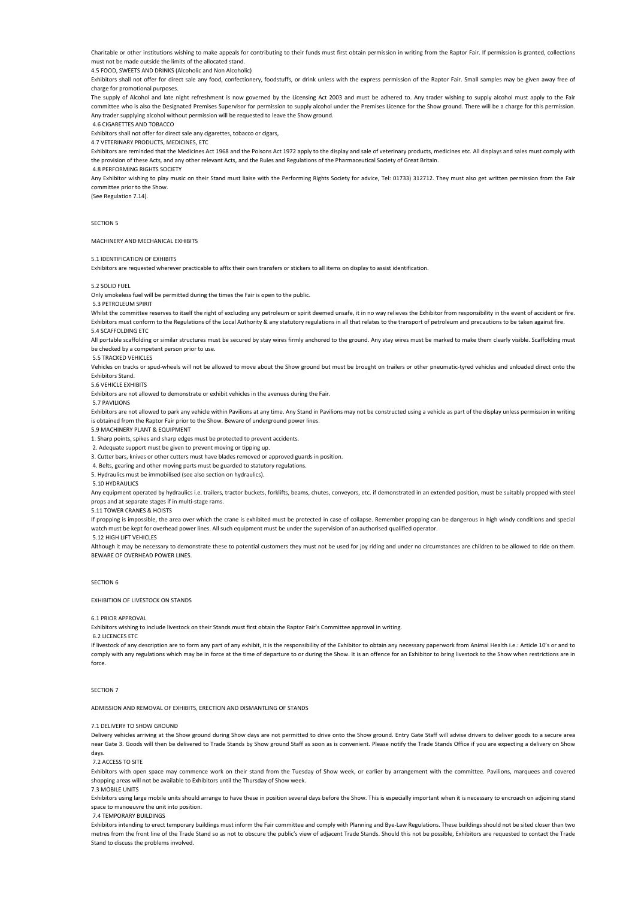Charitable or other institutions wishing to make appeals for contributing to their funds must first obtain permission in writing from the Raptor Fair. If permission is granted, collections must not be made outside the limits of the allocated stand.

4.5 FOOD, SWEETS AND DRINKS (Alcoholic and Non Alcoholic) 

Exhibitors shall not offer for direct sale any food, confectionery, foodstuffs, or drink unless with the express permission of the Raptor Fair. Small samples may be given away free of charge for promotional purposes.

The supply of Alcohol and late night refreshment is now governed by the Licensing Act 2003 and must be adhered to. Any trader wishing to supply alcohol must apply to the Fair committee who is also the Designated Premises Supervisor for permission to supply alcohol under the Premises Licence for the Show ground. There will be a charge for this permission. Any trader supplying alcohol without permission will be requested to leave the Show ground.

 4.6 CIGARETTES AND TOBACCO

Exhibitors shall not offer for direct sale any cigarettes, tobacco or cigars,

4.7 VETERINARY PRODUCTS, MEDICINES, ETC 

Exhibitors are reminded that the Medicines Act 1968 and the Poisons Act 1972 apply to the display and sale of veterinary products, medicines etc. All displays and sales must comply with the provision of these Acts, and any other relevant Acts, and the Rules and Regulations of the Pharmaceutical Society of Great Britain.

 4.8 PERFORMING RIGHTS SOCIETY 

Any Exhibitor wishing to play music on their Stand must liaise with the Performing Rights Society for advice, Tel: 01733) 312712. They must also get written permission from the Fair committee prior to the Show.

(See Regulation 7.14). 

SECTION<sub>5</sub>

#### MACHINERY AND MECHANICAL EXHIBITS

5.1 IDENTIFICATION OF EXHIBITS

Exhibitors are requested wherever practicable to affix their own transfers or stickers to all items on display to assist identification.

#### $5.2$  SOLID FUEL

Only smokeless fuel will be permitted during the times the Fair is open to the public.

 5.3 PETROLEUM SPIRIT 

Whilst the committee reserves to itself the right of excluding any petroleum or spirit deemed unsafe, it in no way relieves the Exhibitor from responsibility in the event of accident or fire. Exhibitors must conform to the Regulations of the Local Authority & any statutory regulations in all that relates to the transport of petroleum and precautions to be taken against fire. 5.4 SCAFFOLDING FTC

All portable scaffolding or similar structures must be secured by stay wires firmly anchored to the ground. Any stay wires must be marked to make them clearly visible. Scaffolding must be checked by a competent person prior to use.

5.5 TRACKED VEHICLES

Vehicles on tracks or spud-wheels will not be allowed to move about the Show ground but must be brought on trailers or other pneumatic-tyred vehicles and unloaded direct onto the Exhibitors Stand. 

5.6 VEHICLE EXHIBITS

Exhibitors are not allowed to demonstrate or exhibit vehicles in the avenues during the Fair.

 5.7 PAVILIONS 

Exhibitors are not allowed to park any vehicle within Pavilions at any time. Any Stand in Pavilions may not be constructed using a vehicle as part of the display unless permission in writing is obtained from the Raptor Fair prior to the Show. Beware of underground power lines.

5.9 MACHINERY BLANT & EQUIPMENT

1. Sharp points, spikes and sharp edges must be protected to prevent accidents.

2. Adequate support must be given to prevent moving or tipping up.

3. Cutter bars, knives or other cutters must have blades removed or approved guards in position.

4. Belts, gearing and other moving parts must be guarded to statutory regulations.

5. Hydraulics must be immobilised (see also section on hydraulics).

 5.10 HYDRAULICS 

Any equipment operated by hydraulics i.e. trailers, tractor buckets, forklifts, beams, chutes, conveyors, etc. if demonstrated in an extended position, must be suitably propped with steel props and at separate stages if in multi-stage rams.

#### 5.11 TOWER CRANES & HOISTS

If propping is impossible, the area over which the crane is exhibited must be protected in case of collapse. Remember propping can be dangerous in high windy conditions and special watch must be kept for overhead power lines. All such equipment must be under the supervision of an authorised qualified operator.

5.12 HIGH LIFT VEHICLES

Although it may be necessary to demonstrate these to notential customers they must not be used for joy riding and under no circumstances are children to be allowed to ride on them. BEWARE OF OVERHEAD POWER LINES.

#### SECTION 6

**EXHIBITION OF LIVESTOCK ON STANDS** 

#### 6.1 PRIOR APPROVAL

Exhibitors wishing to include livestock on their Stands must first obtain the Raptor Fair's Committee approval in writing.

 6.2 LICENCES ETC 

If livestock of any description are to form any part of any exhibit, it is the responsibility of the Exhibitor to obtain any necessary paperwork from Animal Health i.e.: Article 10's or and to comply with any regulations which may be in force at the time of departure to or during the Show. It is an offence for an Exhibitor to bring livestock to the Show when restrictions are in force.

### SECTION<sub>7</sub>

ADMISSION AND REMOVAL OF EXHIBITS, ERECTION AND DISMANTLING OF STANDS

#### 7.1 DELIVERY TO SHOW GROUND

Delivery vehicles arriving at the Show ground during Show days are not permitted to drive onto the Show ground. Entry Gate Staff will advise drivers to deliver goods to a secure area near Gate 3. Goods will then be delivered to Trade Stands by Show ground Staff as soon as is convenient. Please notify the Trade Stands Office if you are expecting a delivery on Show days. 

#### 7.2 ACCESS TO SITE

Exhibitors with open space may commence work on their stand from the Tuesday of Show week, or earlier by arrangement with the committee. Pavilions, marquees and covered shopping areas will not be available to Exhibitors until the Thursday of Show week.

#### 7.3 MOBILE UNITS

Exhibitors using large mobile units should arrange to have these in position several days before the Show. This is especially important when it is necessary to encroach on adjoining stand space to manoeuvre the unit into position.

#### **7.4 TEMPORARY BUILDINGS**

Exhibitors intending to erect temporary buildings must inform the Fair committee and comply with Planning and Bye-Law Regulations. These buildings should not be sited closer than two metres from the front line of the Trade Stand so as not to obscure the public's view of adjacent Trade Stands. Should this not be possible, Exhibitors are requested to contact the Trade Stand to discuss the problems involved.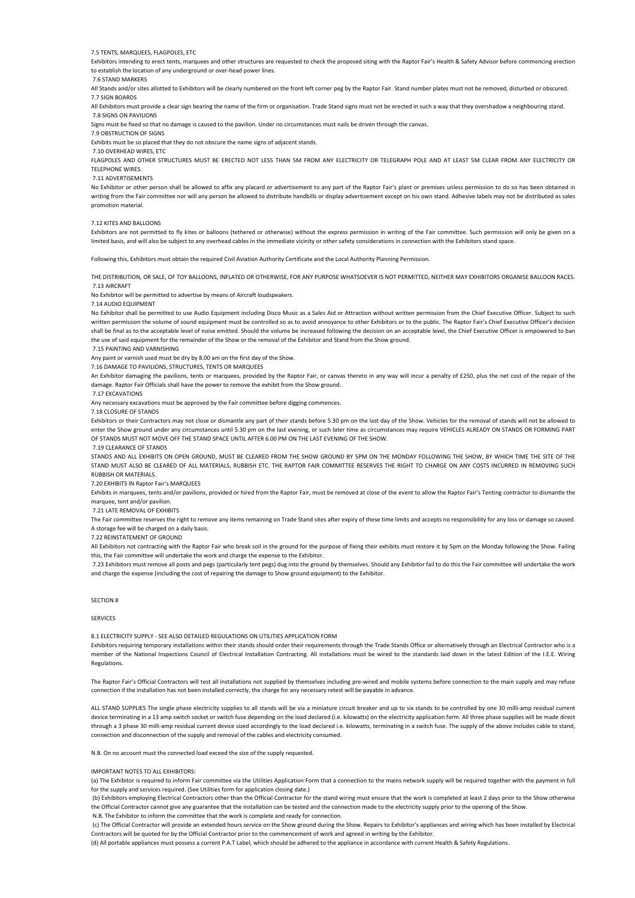# 7.5 TENTS, MARQUEES, FLAGPOLES, ETC

Exhibitors intending to erect tents, marquees and other structures are requested to check the proposed siting with the Raptor Fair's Health & Safety Advisor before commencing erection to establish the location of any underground or over-head power lines.

#### 7.6 STAND MARKERS

All Stands and/or sites allotted to Exhibitors will be clearly numbered on the front left corner peg by the Raptor Fair. Stand number plates must not be removed, disturbed or obscured 7.7 SIGN BOARDS 

#### All Exhibitors must provide a clear sign bearing the name of the firm or organisation. Trade Stand signs must not be erected in such a way that they overshadow a neighbouring stand.

 7.8 SIGNS ON PAVILIONS Signs must be fixed so that no damage is caused to the pavilion. Under no circumstances must pails be driven through the canvas.

7.9 OBSTRUCTION OF SIGNS 

Exhibits must be so placed that they do not obscure the name signs of adjacent stands.

# 7.10 OVERHEAD WIRES, ETC

FLAGPOLES AND OTHER STRUCTURES MUST BE FRECTED NOT LESS THAN 5M FROM ANY ELECTRICITY OR TELEGRAPH POLE AND AT LEAST 5M CLEAR FROM ANY ELECTRICITY OR **TELEPHONE WIRES** 

#### 7.11 ADVERTISEMENTS

No Exhibitor or other person shall be allowed to affix any placard or advertisement to any part of the Raptor Fair's plant or premises unless permission to do so has been obtained in writing from the Fair committee nor will any person be allowed to distribute handbills or display advertisement except on his own stand. Adhesive labels may not be distributed as sales promotion material.

#### 7.12 KITES AND BALLOONS

Exhibitors are not permitted to fly kites or balloons (tethered or otherwise) without the express permission in writing of the Fair committee. Such permission will only be given on a limited basis, and will also be subject to any overhead cables in the immediate vicinity or other safety considerations in connection with the Exhibitors stand space.

Following this, Exhibitors must obtain the required Civil Aviation Authority Certificate and the Local Authority Planning Permission.

THE DISTRIBUTION, OR SALE, OF TOY BALLOONS, INFLATED OR OTHERWISE, FOR ANY PURPOSE WHATSOEVER IS NOT PERMITTED. NEITHER MAY EXHIBITORS ORGANISE BALLOON RACES.

# 7.13 AIRCRAFT

No Exhibitor will be permitted to advertise by means of Aircraft loudspeakers.

# 7.14 AUDIO EQUIPMENT

No Exhibitor shall be permitted to use Audio Fquipment including Disco Music as a Sales Aid or Attraction without written permission from the Chief Executive Officer. Subject to such written permission the volume of sound equipment must be controlled so as to avoid annoyance to other Exhibitors or to the public. The Raptor Fair's Chief Executive Officer's decision shall be final as to the acceptable level of noise emitted. Should the volume be increased following the decision on an acceptable level, the Chief Executive Officer is empowered to ban the use of said equipment for the remainder of the Show or the removal of the Exhibitor and Stand from the Show ground.

#### 7.15 PAINTING AND VARNISHING

Any paint or varnish used must be dry by 8.00 am on the first day of the Show.

7.16 DAMAGE TO PAVILIONS, STRUCTURES, TENTS OR MARQUEES

An Exhibitor damaging the pavilions, tents or marquees, provided by the Raptor Fair, or canvas thereto in any way will incur a penalty of £250, plus the net cost of the repair of the damage. Raptor Fair Officials shall have the power to remove the exhibit from the Show ground.

 7.17 EXCAVATIONS 

Any necessary excavations must be approved by the Fair committee before digging commences.

7.18 CLOSURE OF STANDS 

Exhibitors or their Contractors may not close or dismantle any part of their stands before 5.30 pm on the last day of the Show. Vehicles for the removal of stands will not be allowed to enter the Show ground under any circumstances until 5.30 pm on the last evening, or such later time as circumstances may require VEHICLES ALREADY ON STANDS OR FORMING PART OF STANDS MUST NOT MOVE OFF THE STAND SPACE UNTIL AFTER 6.00 PM ON THE LAST EVENING OF THE SHOW.

# 7.19 CLEARANCE OF STANDS

STANDS AND ALL EXHIBITS ON OPEN GROUND, MUST BE CLEARED FROM THE SHOW GROUND BY 5PM ON THE MONDAY FOLLOWING THE SHOW, BY WHICH TIME THE SITE OF THE STAND MUST ALSO BE CLEARED OF ALL MATERIALS, RUBBISH FTC. THE RAPTOR FAIR COMMITTEE RESERVES THE RIGHT TO CHARGE ON ANY COSTS INCURRED IN REMOVING SUCH RUBBISH OR MATERIALS. 

#### 7.20 EXHIBITS IN Raptor Fair's MARQUEES

Exhibits in marquees, tents and/or pavilions, provided or hired from the Raptor Fair, must be removed at close of the event to allow the Raptor Fair's Tenting contractor to dismantle the marquee, tent and/or pavilion.

#### **7.21 LATE REMOVAL OF EXHIBITS**

The Fair committee reserves the right to remove any items remaining on Trade Stand sites after expiry of these time limits and accepts no responsibility for any loss or damage so caused. A storage fee will be charged on a daily basis.

### **7.22 REINSTATEMENT OF GROUND**

All Exhibitors not contracting with the Raptor Fair who break soil in the ground for the purpose of fixing their exhibits must restore it by 5pm on the Monday following the Show. Failing this, the Fair committee will undertake the work and charge the expense to the Exhibitor.

7.23 Exhibitors must remove all posts and pegs (particularly tent pegs) dug into the ground by themselves. Should any Exhibitor fail to do this the Fair committee will undertake the work and charge the expense (including the cost of repairing the damage to Show ground equipment) to the Exhibitor.

# SECTION **8**

**SERVICES** 

# 8.1 ELECTRICITY SUPPLY - SEE ALSO DETAILED REGULATIONS ON UTILITIES APPLICATION FORM

Exhibitors requiring temporary installations within their stands should order their requirements through the Trade Stands Office or alternatively through an Electrical Contractor who is a member of the National Inspections Council of Electrical Installation Contracting. All installations must be wired to the standards laid down in the latest Edition of the I.E.E. Wiring **Regulations** 

The Raptor Fair's Official Contractors will test all installations not supplied by themselves including pre-wired and mobile systems before connection to the main supply and may refuse connection if the installation has not been installed correctly, the charge for any necessary retest will be payable in advance.

ALL STAND SUPPLIES The single phase electricity supplies to all stands will be via a miniature circuit breaker and up to six stands to be controlled by one 30 milli-amp residual current device terminating in a 13 amp switch socket or switch fuse depending on the load declared (i.e. kilowatts) on the electricity application form. All three phase supplies will be made direct through a 3 phase 30 milli-amp residual current device sized accordingly to the load declared i.e. kilowatts, terminating in a switch fuse. The supply of the above includes cable to stand, connection and disconnection of the supply and removal of the cables and electricity consumed.

N.B. On no account must the connected load exceed the size of the supply requested.

# IMPORTANT NOTES TO ALL EXHIBITORS:

(a) The Exhibitor is required to inform Fair committee via the Utilities Application Form that a connection to the mains network supply will be required together with the payment in full for the supply and services required. (See Utilities form for application closing date.)

(b) Exhibitors employing Electrical Contractors other than the Official Contractor for the stand wiring must ensure that the work is completed at least 2 days prior to the Show otherwise the Official Contractor cannot give any guarantee that the installation can be tested and the connection made to the electricity supply prior to the opening of the Show

N.B. The Exhibitor to inform the committee that the work is complete and ready for connection.

(c) The Official Contractor will provide an extended hours service on the Show ground during the Show. Repairs to Exhibitor's appliances and wiring which has been installed by Electrical Contractors will be quoted for by the Official Contractor prior to the commencement of work and agreed in writing by the Exhibitor.

(d) All portable appliances must possess a current P.A.T Label, which should be adhered to the appliance in accordance with current Health & Safety Regulations.